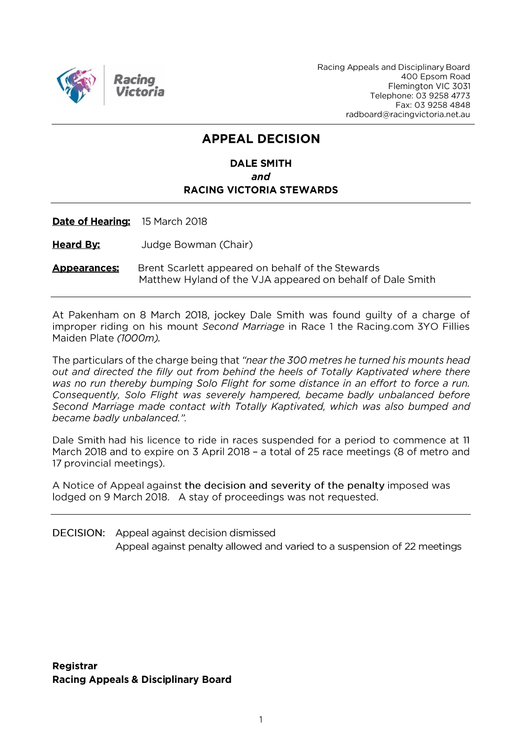

Racing Appeals and Disciplinary Board 400 Epsom Road Flemington VIC 3031 Telephone: 03 9258 4773 Fax: 03 9258 4848 radboard@racingvictoria.net.au

# **APPEAL DECISION**

## **DALE SMITH** and **RACING VICTORIA STEWARDS**

Date of Hearing: 15 March 2018

**Heard By:** Judge Bowman (Chair)

Brent Scarlett appeared on behalf of the Stewards **Appearances:** Matthew Hyland of the VJA appeared on behalf of Dale Smith

At Pakenham on 8 March 2018, jockey Dale Smith was found guilty of a charge of improper riding on his mount Second Marriage in Race 1 the Racing.com 3YO Fillies Maiden Plate (1000m).

The particulars of the charge being that "near the 300 metres he turned his mounts head out and directed the filly out from behind the heels of Totally Kaptivated where there was no run thereby bumping Solo Flight for some distance in an effort to force a run. Consequently, Solo Flight was severely hampered, became badly unbalanced before Second Marriage made contact with Totally Kaptivated, which was also bumped and became badly unbalanced.".

Dale Smith had his licence to ride in races suspended for a period to commence at 11 March 2018 and to expire on 3 April 2018 - a total of 25 race meetings (8 of metro and 17 provincial meetings).

A Notice of Appeal against the decision and severity of the penalty imposed was lodged on 9 March 2018. A stay of proceedings was not requested.

**DECISION:** Appeal against decision dismissed Appeal against penalty allowed and varied to a suspension of 22 meetings

Registrar **Racing Appeals & Disciplinary Board**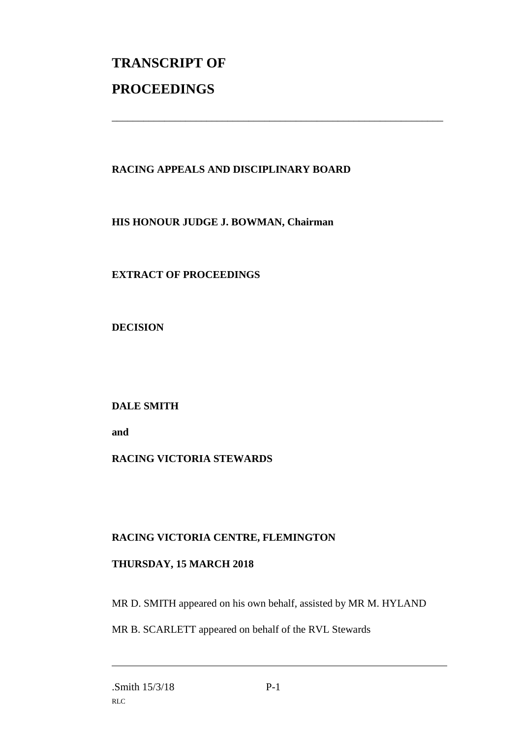# **TRANSCRIPT OF PROCEEDINGS**

#### **RACING APPEALS AND DISCIPLINARY BOARD**

\_\_\_\_\_\_\_\_\_\_\_\_\_\_\_\_\_\_\_\_\_\_\_\_\_\_\_\_\_\_\_\_\_\_\_\_\_\_\_\_\_\_\_\_\_\_\_\_\_\_\_\_\_\_\_\_\_\_\_\_\_\_\_

**HIS HONOUR JUDGE J. BOWMAN, Chairman**

**EXTRACT OF PROCEEDINGS**

**DECISION**

**DALE SMITH**

**and** 

## **RACING VICTORIA STEWARDS**

#### **RACING VICTORIA CENTRE, FLEMINGTON**

#### **THURSDAY, 15 MARCH 2018**

MR D. SMITH appeared on his own behalf, assisted by MR M. HYLAND

MR B. SCARLETT appeared on behalf of the RVL Stewards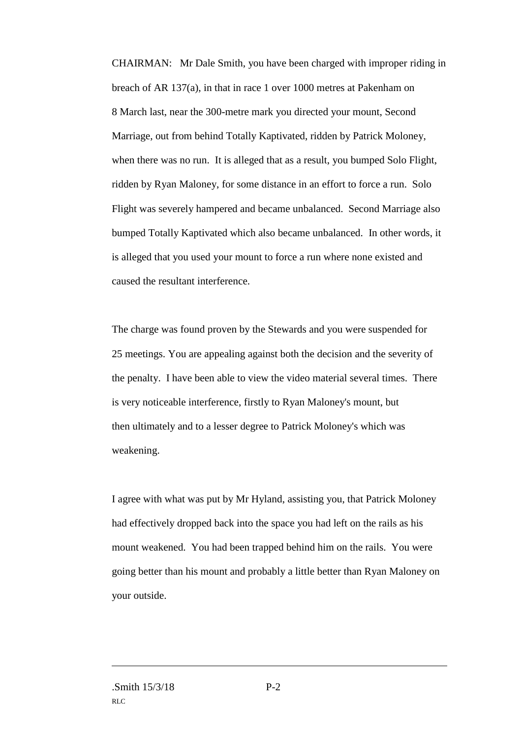CHAIRMAN: Mr Dale Smith, you have been charged with improper riding in breach of AR 137(a), in that in race 1 over 1000 metres at Pakenham on 8 March last, near the 300-metre mark you directed your mount, Second Marriage, out from behind Totally Kaptivated, ridden by Patrick Moloney, when there was no run. It is alleged that as a result, you bumped Solo Flight, ridden by Ryan Maloney, for some distance in an effort to force a run. Solo Flight was severely hampered and became unbalanced. Second Marriage also bumped Totally Kaptivated which also became unbalanced. In other words, it is alleged that you used your mount to force a run where none existed and caused the resultant interference.

The charge was found proven by the Stewards and you were suspended for 25 meetings. You are appealing against both the decision and the severity of the penalty. I have been able to view the video material several times. There is very noticeable interference, firstly to Ryan Maloney's mount, but then ultimately and to a lesser degree to Patrick Moloney's which was weakening.

I agree with what was put by Mr Hyland, assisting you, that Patrick Moloney had effectively dropped back into the space you had left on the rails as his mount weakened. You had been trapped behind him on the rails. You were going better than his mount and probably a little better than Ryan Maloney on your outside.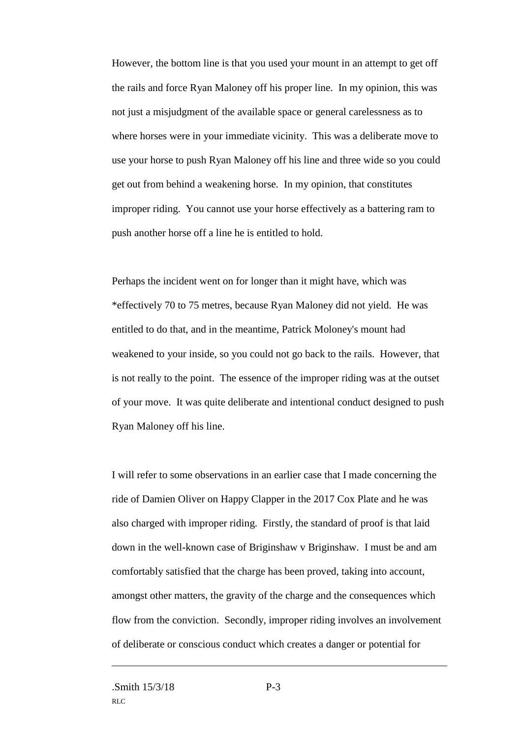However, the bottom line is that you used your mount in an attempt to get off the rails and force Ryan Maloney off his proper line. In my opinion, this was not just a misjudgment of the available space or general carelessness as to where horses were in your immediate vicinity. This was a deliberate move to use your horse to push Ryan Maloney off his line and three wide so you could get out from behind a weakening horse. In my opinion, that constitutes improper riding. You cannot use your horse effectively as a battering ram to push another horse off a line he is entitled to hold.

Perhaps the incident went on for longer than it might have, which was \*effectively 70 to 75 metres, because Ryan Maloney did not yield. He was entitled to do that, and in the meantime, Patrick Moloney's mount had weakened to your inside, so you could not go back to the rails. However, that is not really to the point. The essence of the improper riding was at the outset of your move. It was quite deliberate and intentional conduct designed to push Ryan Maloney off his line.

I will refer to some observations in an earlier case that I made concerning the ride of Damien Oliver on Happy Clapper in the 2017 Cox Plate and he was also charged with improper riding. Firstly, the standard of proof is that laid down in the well-known case of Briginshaw v Briginshaw. I must be and am comfortably satisfied that the charge has been proved, taking into account, amongst other matters, the gravity of the charge and the consequences which flow from the conviction. Secondly, improper riding involves an involvement of deliberate or conscious conduct which creates a danger or potential for